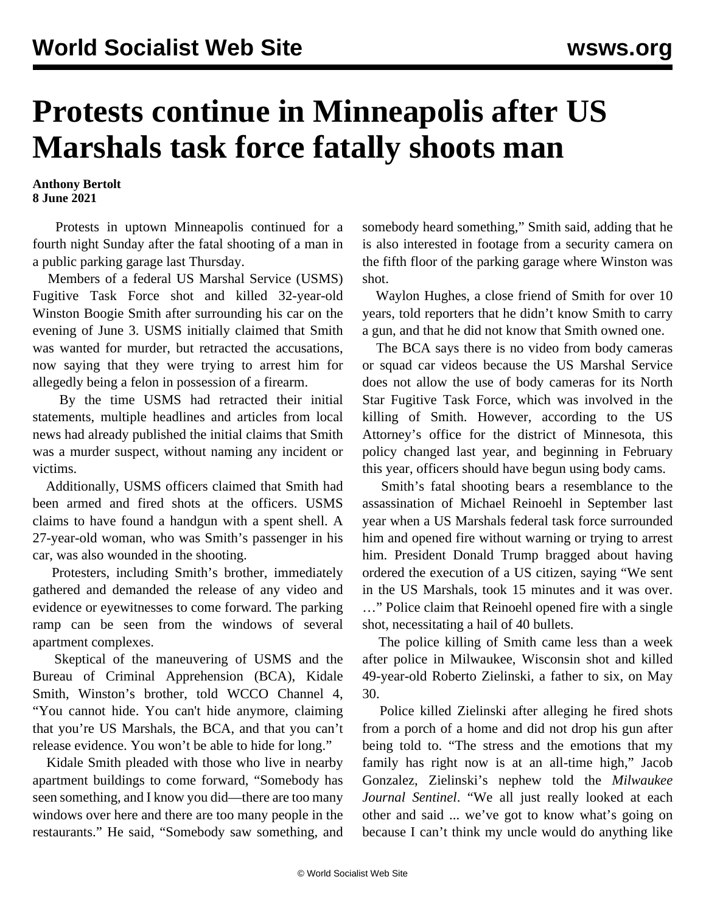## **Protests continue in Minneapolis after US Marshals task force fatally shoots man**

## **Anthony Bertolt 8 June 2021**

 Protests in uptown Minneapolis continued for a fourth night Sunday after the fatal shooting of a man in a public parking garage last Thursday.

 Members of a federal US Marshal Service (USMS) Fugitive Task Force shot and killed 32-year-old Winston Boogie Smith after surrounding his car on the evening of June 3. USMS initially claimed that Smith was wanted for murder, but retracted the accusations, now saying that they were trying to arrest him for allegedly being a felon in possession of a firearm.

 By the time USMS had retracted their initial statements, multiple headlines and articles from local news had already published the initial claims that Smith was a murder suspect, without naming any incident or victims.

 Additionally, USMS officers claimed that Smith had been armed and fired shots at the officers. USMS claims to have found a handgun with a spent shell. A 27-year-old woman, who was Smith's passenger in his car, was also wounded in the shooting.

 Protesters, including Smith's brother, immediately gathered and demanded the release of any video and evidence or eyewitnesses to come forward. The parking ramp can be seen from the windows of several apartment complexes.

 Skeptical of the maneuvering of USMS and the Bureau of Criminal Apprehension (BCA), Kidale Smith, Winston's brother, told WCCO Channel 4, "You cannot hide. You can't hide anymore, claiming that you're US Marshals, the BCA, and that you can't release evidence. You won't be able to hide for long."

 Kidale Smith pleaded with those who live in nearby apartment buildings to come forward, "Somebody has seen something, and I know you did—there are too many windows over here and there are too many people in the restaurants." He said, "Somebody saw something, and somebody heard something," Smith said, adding that he is also interested in footage from a security camera on the fifth floor of the parking garage where Winston was shot.

 Waylon Hughes, a close friend of Smith for over 10 years, told reporters that he didn't know Smith to carry a gun, and that he did not know that Smith owned one.

 The BCA says there is no video from body cameras or squad car videos because the US Marshal Service does not allow the use of body cameras for its North Star Fugitive Task Force, which was involved in the killing of Smith. However, according to the US Attorney's office for the district of Minnesota, this policy changed last year, and beginning in February this year, officers should have begun using body cams.

 Smith's fatal shooting bears a resemblance to the assassination of Michael Reinoehl in September last year when a US Marshals federal task force surrounded him and opened fire without warning or trying to arrest him. President Donald Trump bragged about having ordered the execution of a US citizen, saying "We sent in the US Marshals, took 15 minutes and it was over. …" Police claim that Reinoehl opened fire with a single shot, necessitating a hail of 40 bullets.

 The police killing of Smith came less than a week after police in Milwaukee, Wisconsin shot and killed 49-year-old Roberto Zielinski, a father to six, on May 30.

 Police killed Zielinski after alleging he fired shots from a porch of a home and did not drop his gun after being told to. "The stress and the emotions that my family has right now is at an all-time high," Jacob Gonzalez, Zielinski's nephew told the *Milwaukee Journal Sentinel*. "We all just really looked at each other and said ... we've got to know what's going on because I can't think my uncle would do anything like